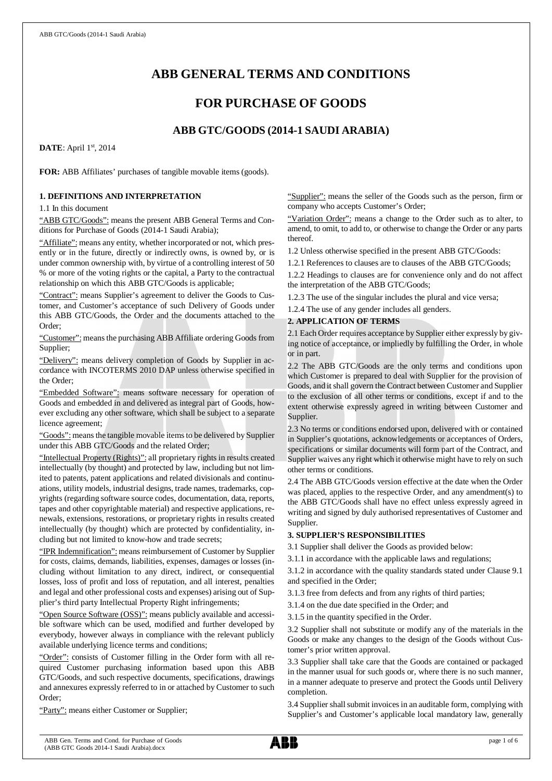# **ABB GENERAL TERMS AND CONDITIONS**

## **FOR PURCHASE OF GOODS**

## **ABB GTC/GOODS (2014-1 SAUDI ARABIA)**

**DATE**: April 1st, 2014

**FOR:** ABB Affiliates' purchases of tangible movable items (goods).

#### **1. DEFINITIONS AND INTERPRETATION**

1.1 In this document

"ABB GTC/Goods": means the present ABB General Terms and Conditions for Purchase of Goods (2014-1 Saudi Arabia);

"Affiliate": means any entity, whether incorporated or not, which presently or in the future, directly or indirectly owns, is owned by, or is under common ownership with, by virtue of a controlling interest of 50 % or more of the voting rights or the capital, a Party to the contractual relationship on which this ABB GTC/Goods is applicable;

"Contract": means Supplier's agreement to deliver the Goods to Customer, and Customer's acceptance of such Delivery of Goods under this ABB GTC/Goods, the Order and the documents attached to the Order;

"Customer": means the purchasing ABB Affiliate ordering Goods from Supplier;

"Delivery": means delivery completion of Goods by Supplier in accordance with INCOTERMS 2010 DAP unless otherwise specified in the Order;

"Embedded Software": means software necessary for operation of Goods and embedded in and delivered as integral part of Goods, however excluding any other software, which shall be subject to a separate licence agreement;

"Goods": means the tangible movable items to be delivered by Supplier under this ABB GTC/Goods and the related Order;

"Intellectual Property (Rights)": all proprietary rights in results created intellectually (by thought) and protected by law, including but not limited to patents, patent applications and related divisionals and continuations, utility models, industrial designs, trade names, trademarks, copyrights (regarding software source codes, documentation, data, reports, tapes and other copyrightable material) and respective applications, renewals, extensions, restorations, or proprietary rights in results created intellectually (by thought) which are protected by confidentiality, including but not limited to know-how and trade secrets;

"IPR Indemnification": means reimbursement of Customer by Supplier for costs, claims, demands, liabilities, expenses, damages or losses (including without limitation to any direct, indirect, or consequential losses, loss of profit and loss of reputation, and all interest, penalties and legal and other professional costs and expenses) arising out of Supplier's third party Intellectual Property Right infringements;

"Open Source Software (OSS)": means publicly available and accessible software which can be used, modified and further developed by everybody, however always in compliance with the relevant publicly available underlying licence terms and conditions;

"Order": consists of Customer filling in the Order form with all required Customer purchasing information based upon this ABB GTC/Goods, and such respective documents, specifications, drawings and annexures expressly referred to in or attached by Customer to such Order;

"Party": means either Customer or Supplier;

"Supplier": means the seller of the Goods such as the person, firm or company who accepts Customer's Order;

"Variation Order": means a change to the Order such as to alter, to amend, to omit, to add to, or otherwise to change the Order or any parts thereof.

1.2 Unless otherwise specified in the present ABB GTC/Goods:

1.2.1 References to clauses are to clauses of the ABB GTC/Goods;

1.2.2 Headings to clauses are for convenience only and do not affect the interpretation of the ABB GTC/Goods;

1.2.3 The use of the singular includes the plural and vice versa;

1.2.4 The use of any gender includes all genders.

## **2. APPLICATION OF TERMS**

2.1 Each Order requires acceptance by Supplier either expressly by giving notice of acceptance, or impliedly by fulfilling the Order, in whole or in part.

2.2 The ABB GTC/Goods are the only terms and conditions upon which Customer is prepared to deal with Supplier for the provision of Goods, and it shall govern the Contract between Customer and Supplier to the exclusion of all other terms or conditions, except if and to the extent otherwise expressly agreed in writing between Customer and Supplier.

2.3 No terms or conditions endorsed upon, delivered with or contained in Supplier's quotations, acknowledgements or acceptances of Orders, specifications or similar documents will form part of the Contract, and Supplier waives any right which it otherwise might have to rely on such other terms or conditions.

2.4 The ABB GTC/Goods version effective at the date when the Order was placed, applies to the respective Order, and any amendment(s) to the ABB GTC/Goods shall have no effect unless expressly agreed in writing and signed by duly authorised representatives of Customer and Supplier.

## **3. SUPPLIER'S RESPONSIBILITIES**

3.1 Supplier shall deliver the Goods as provided below:

3.1.1 in accordance with the applicable laws and regulations;

3.1.2 in accordance with the quality standards stated under Clause 9.1 and specified in the Order;

3.1.3 free from defects and from any rights of third parties;

3.1.4 on the due date specified in the Order; and

3.1.5 in the quantity specified in the Order.

3.2 Supplier shall not substitute or modify any of the materials in the Goods or make any changes to the design of the Goods without Customer's prior written approval.

3.3 Supplier shall take care that the Goods are contained or packaged in the manner usual for such goods or, where there is no such manner, in a manner adequate to preserve and protect the Goods until Delivery completion.

3.4 Supplier shall submit invoices in an auditable form, complying with Supplier's and Customer's applicable local mandatory law, generally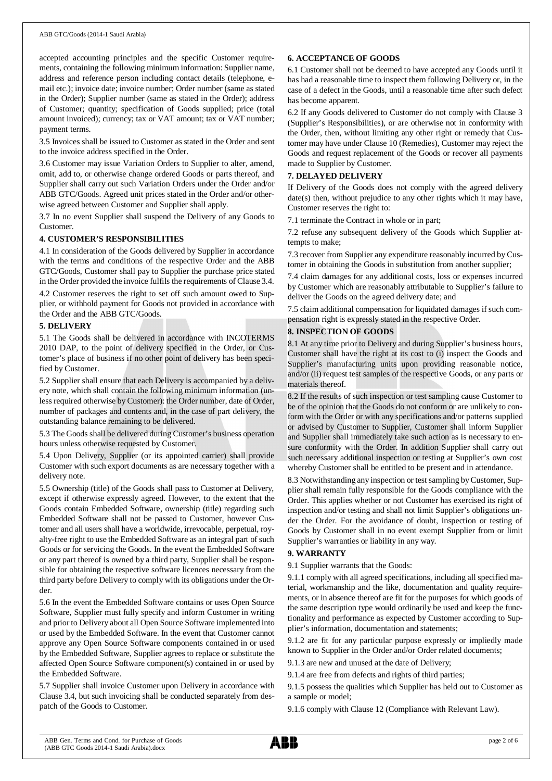accepted accounting principles and the specific Customer requirements, containing the following minimum information: Supplier name, address and reference person including contact details (telephone, email etc.); invoice date; invoice number; Order number (same as stated in the Order); Supplier number (same as stated in the Order); address of Customer; quantity; specification of Goods supplied; price (total amount invoiced); currency; tax or VAT amount; tax or VAT number; payment terms.

3.5 Invoices shall be issued to Customer as stated in the Order and sent to the invoice address specified in the Order.

3.6 Customer may issue Variation Orders to Supplier to alter, amend, omit, add to, or otherwise change ordered Goods or parts thereof, and Supplier shall carry out such Variation Orders under the Order and/or ABB GTC/Goods. Agreed unit prices stated in the Order and/or otherwise agreed between Customer and Supplier shall apply.

3.7 In no event Supplier shall suspend the Delivery of any Goods to Customer.

#### **4. CUSTOMER'S RESPONSIBILITIES**

4.1 In consideration of the Goods delivered by Supplier in accordance with the terms and conditions of the respective Order and the ABB GTC/Goods, Customer shall pay to Supplier the purchase price stated in the Order provided the invoice fulfils the requirements of Clause 3.4.

4.2 Customer reserves the right to set off such amount owed to Supplier, or withhold payment for Goods not provided in accordance with the Order and the ABB GTC/Goods.

#### **5. DELIVERY**

5.1 The Goods shall be delivered in accordance with INCOTERMS 2010 DAP, to the point of delivery specified in the Order, or Customer's place of business if no other point of delivery has been specified by Customer.

5.2 Supplier shall ensure that each Delivery is accompanied by a delivery note, which shall contain the following minimum information (unless required otherwise by Customer): the Order number, date of Order, number of packages and contents and, in the case of part delivery, the outstanding balance remaining to be delivered.

5.3 The Goods shall be delivered during Customer's business operation hours unless otherwise requested by Customer.

5.4 Upon Delivery, Supplier (or its appointed carrier) shall provide Customer with such export documents as are necessary together with a delivery note.

5.5 Ownership (title) of the Goods shall pass to Customer at Delivery, except if otherwise expressly agreed. However, to the extent that the Goods contain Embedded Software, ownership (title) regarding such Embedded Software shall not be passed to Customer, however Customer and all users shall have a worldwide, irrevocable, perpetual, royalty-free right to use the Embedded Software as an integral part of such Goods or for servicing the Goods. In the event the Embedded Software or any part thereof is owned by a third party, Supplier shall be responsible for obtaining the respective software licences necessary from the third party before Delivery to comply with its obligations under the Order.

5.6 In the event the Embedded Software contains or uses Open Source Software, Supplier must fully specify and inform Customer in writing and prior to Delivery about all Open Source Software implemented into or used by the Embedded Software. In the event that Customer cannot approve any Open Source Software components contained in or used by the Embedded Software, Supplier agrees to replace or substitute the affected Open Source Software component(s) contained in or used by the Embedded Software.

5.7 Supplier shall invoice Customer upon Delivery in accordance with Clause 3.4, but such invoicing shall be conducted separately from despatch of the Goods to Customer.

#### **6. ACCEPTANCE OF GOODS**

6.1 Customer shall not be deemed to have accepted any Goods until it has had a reasonable time to inspect them following Delivery or, in the case of a defect in the Goods, until a reasonable time after such defect has become apparent.

6.2 If any Goods delivered to Customer do not comply with Clause 3 (Supplier's Responsibilities), or are otherwise not in conformity with the Order, then, without limiting any other right or remedy that Customer may have under Clause 10 (Remedies), Customer may reject the Goods and request replacement of the Goods or recover all payments made to Supplier by Customer.

## **7. DELAYED DELIVERY**

If Delivery of the Goods does not comply with the agreed delivery date(s) then, without prejudice to any other rights which it may have, Customer reserves the right to:

7.1 terminate the Contract in whole or in part;

7.2 refuse any subsequent delivery of the Goods which Supplier attempts to make;

7.3 recover from Supplier any expenditure reasonably incurred by Customer in obtaining the Goods in substitution from another supplier;

7.4 claim damages for any additional costs, loss or expenses incurred by Customer which are reasonably attributable to Supplier's failure to deliver the Goods on the agreed delivery date; and

7.5 claim additional compensation for liquidated damages if such compensation right is expressly stated in the respective Order.

## **8. INSPECTION OF GOODS**

8.1 At any time prior to Delivery and during Supplier's business hours, Customer shall have the right at its cost to (i) inspect the Goods and Supplier's manufacturing units upon providing reasonable notice, and/or (ii) request test samples of the respective Goods, or any parts or materials thereof.

8.2 If the results of such inspection or test sampling cause Customer to be of the opinion that the Goods do not conform or are unlikely to conform with the Order or with any specifications and/or patterns supplied or advised by Customer to Supplier, Customer shall inform Supplier and Supplier shall immediately take such action as is necessary to ensure conformity with the Order. In addition Supplier shall carry out such necessary additional inspection or testing at Supplier's own cost whereby Customer shall be entitled to be present and in attendance.

8.3 Notwithstanding any inspection or test sampling by Customer, Supplier shall remain fully responsible for the Goods compliance with the Order. This applies whether or not Customer has exercised its right of inspection and/or testing and shall not limit Supplier's obligations under the Order. For the avoidance of doubt, inspection or testing of Goods by Customer shall in no event exempt Supplier from or limit Supplier's warranties or liability in any way.

## **9. WARRANTY**

9.1 Supplier warrants that the Goods:

9.1.1 comply with all agreed specifications, including all specified material, workmanship and the like, documentation and quality requirements, or in absence thereof are fit for the purposes for which goods of the same description type would ordinarily be used and keep the functionality and performance as expected by Customer according to Supplier's information, documentation and statements;

9.1.2 are fit for any particular purpose expressly or impliedly made known to Supplier in the Order and/or Order related documents;

9.1.3 are new and unused at the date of Delivery;

9.1.4 are free from defects and rights of third parties;

9.1.5 possess the qualities which Supplier has held out to Customer as a sample or model;

9.1.6 comply with Clause 12 (Compliance with Relevant Law).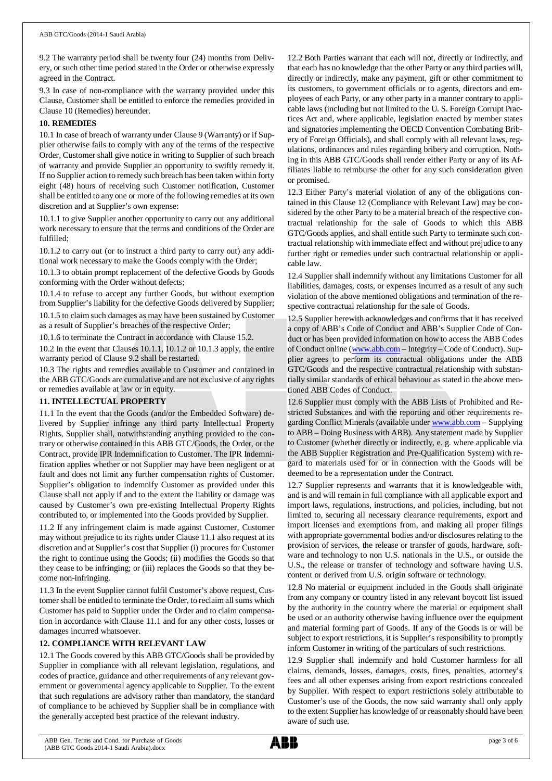9.2 The warranty period shall be twenty four (24) months from Delivery, or such other time period stated in the Order or otherwise expressly agreed in the Contract.

9.3 In case of non-compliance with the warranty provided under this Clause, Customer shall be entitled to enforce the remedies provided in Clause 10 (Remedies) hereunder.

#### **10. REMEDIES**

10.1 In case of breach of warranty under Clause 9 (Warranty) or if Supplier otherwise fails to comply with any of the terms of the respective Order, Customer shall give notice in writing to Supplier of such breach of warranty and provide Supplier an opportunity to swiftly remedy it. If no Supplier action to remedy such breach has been taken within forty eight (48) hours of receiving such Customer notification, Customer shall be entitled to any one or more of the following remedies at its own discretion and at Supplier's own expense:

10.1.1 to give Supplier another opportunity to carry out any additional work necessary to ensure that the terms and conditions of the Order are fulfilled;

10.1.2 to carry out (or to instruct a third party to carry out) any additional work necessary to make the Goods comply with the Order;

10.1.3 to obtain prompt replacement of the defective Goods by Goods conforming with the Order without defects;

10.1.4 to refuse to accept any further Goods, but without exemption from Supplier's liability for the defective Goods delivered by Supplier;

10.1.5 to claim such damages as may have been sustained by Customer as a result of Supplier's breaches of the respective Order;

10.1.6 to terminate the Contract in accordance with Clause 15.2.

10.2 In the event that Clauses 10.1.1, 10.1.2 or 10.1.3 apply, the entire warranty period of Clause 9.2 shall be restarted.

10.3 The rights and remedies available to Customer and contained in the ABB GTC/Goods are cumulative and are not exclusive of any rights or remedies available at law or in equity.

## **11. INTELLECTUAL PROPERTY**

11.1 In the event that the Goods (and/or the Embedded Software) delivered by Supplier infringe any third party Intellectual Property Rights, Supplier shall, notwithstanding anything provided to the contrary or otherwise contained in this ABB GTC/Goods, the Order, or the Contract, provide IPR Indemnification to Customer. The IPR Indemnification applies whether or not Supplier may have been negligent or at fault and does not limit any further compensation rights of Customer. Supplier's obligation to indemnify Customer as provided under this Clause shall not apply if and to the extent the liability or damage was caused by Customer's own pre-existing Intellectual Property Rights contributed to, or implemented into the Goods provided by Supplier.

11.2 If any infringement claim is made against Customer, Customer may without prejudice to its rights under Clause 11.1 also request at its discretion and at Supplier's cost that Supplier (i) procures for Customer the right to continue using the Goods; (ii) modifies the Goods so that they cease to be infringing; or (iii) replaces the Goods so that they become non-infringing.

11.3 In the event Supplier cannot fulfil Customer's above request, Customer shall be entitled to terminate the Order, to reclaim all sums which Customer has paid to Supplier under the Order and to claim compensation in accordance with Clause 11.1 and for any other costs, losses or damages incurred whatsoever.

## **12. COMPLIANCE WITH RELEVANT LAW**

12.1 The Goods covered by this ABB GTC/Goods shall be provided by Supplier in compliance with all relevant legislation, regulations, and codes of practice, guidance and other requirements of any relevant government or governmental agency applicable to Supplier. To the extent that such regulations are advisory rather than mandatory, the standard of compliance to be achieved by Supplier shall be in compliance with the generally accepted best practice of the relevant industry.

12.2 Both Parties warrant that each will not, directly or indirectly, and that each has no knowledge that the other Party or any third parties will, directly or indirectly, make any payment, gift or other commitment to its customers, to government officials or to agents, directors and employees of each Party, or any other party in a manner contrary to applicable laws (including but not limited to the U. S. Foreign Corrupt Practices Act and, where applicable, legislation enacted by member states and signatories implementing the OECD Convention Combating Bribery of Foreign Officials), and shall comply with all relevant laws, regulations, ordinances and rules regarding bribery and corruption. Nothing in this ABB GTC/Goods shall render either Party or any of its Affiliates liable to reimburse the other for any such consideration given or promised.

12.3 Either Party's material violation of any of the obligations contained in this Clause 12 (Compliance with Relevant Law) may be considered by the other Party to be a material breach of the respective contractual relationship for the sale of Goods to which this ABB GTC/Goods applies, and shall entitle such Party to terminate such contractual relationship with immediate effect and without prejudice to any further right or remedies under such contractual relationship or applicable law.

12.4 Supplier shall indemnify without any limitations Customer for all liabilities, damages, costs, or expenses incurred as a result of any such violation of the above mentioned obligations and termination of the respective contractual relationship for the sale of Goods.

12.5 Supplier herewith acknowledges and confirms that it has received a copy of ABB's Code of Conduct and ABB's Supplier Code of Conduct or has been provided information on how to access the ABB Codes of Conduct online ([www.abb.com](http://www.abb.com/) – Integrity – Code of Conduct). Supplier agrees to perform its contractual obligations under the ABB GTC/Goods and the respective contractual relationship with substantially similar standards of ethical behaviour as stated in the above mentioned ABB Codes of Conduct.

12.6 Supplier must comply with the ABB Lists of Prohibited and Restricted Substances and with the reporting and other requirements regarding Conflict Minerals (available under [www.abb.com](http://www.abb.com/) – Supplying to ABB – Doing Business with ABB). Any statement made by Supplier to Customer (whether directly or indirectly, e. g. where applicable via the ABB Supplier Registration and Pre-Qualification System) with regard to materials used for or in connection with the Goods will be deemed to be a representation under the Contract.

12.7 Supplier represents and warrants that it is knowledgeable with, and is and will remain in full compliance with all applicable export and import laws, regulations, instructions, and policies, including, but not limited to, securing all necessary clearance requirements, export and import licenses and exemptions from, and making all proper filings with appropriate governmental bodies and/or disclosures relating to the provision of services, the release or transfer of goods, hardware, software and technology to non U.S. nationals in the U.S., or outside the U.S., the release or transfer of technology and software having U.S. content or derived from U.S. origin software or technology.

12.8 No material or equipment included in the Goods shall originate from any company or country listed in any relevant boycott list issued by the authority in the country where the material or equipment shall be used or an authority otherwise having influence over the equipment and material forming part of Goods. If any of the Goods is or will be subject to export restrictions, it is Supplier's responsibility to promptly inform Customer in writing of the particulars of such restrictions.

12.9 Supplier shall indemnify and hold Customer harmless for all claims, demands, losses, damages, costs, fines, penalties, attorney's fees and all other expenses arising from export restrictions concealed by Supplier. With respect to export restrictions solely attributable to Customer's use of the Goods, the now said warranty shall only apply to the extent Supplier has knowledge of or reasonably should have been aware of such use.

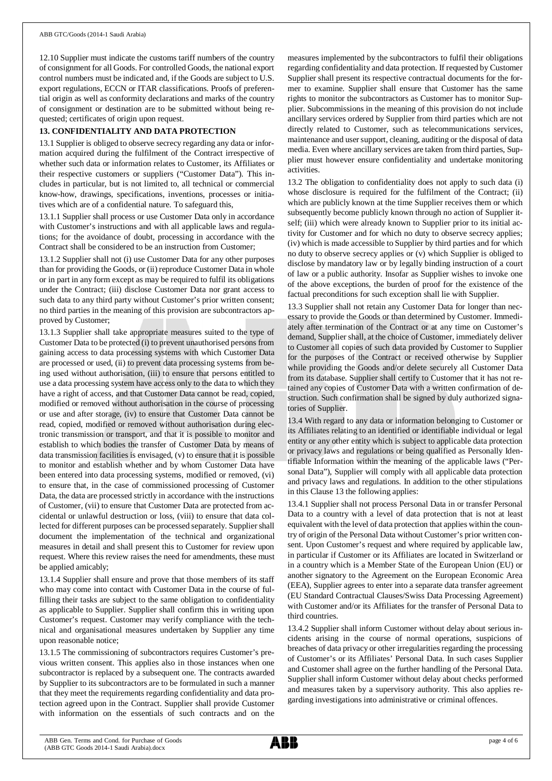12.10 Supplier must indicate the customs tariff numbers of the country of consignment for all Goods. For controlled Goods, the national export control numbers must be indicated and, if the Goods are subject to U.S. export regulations, ECCN or ITAR classifications. Proofs of preferential origin as well as conformity declarations and marks of the country of consignment or destination are to be submitted without being requested; certificates of origin upon request.

## **13. CONFIDENTIALITY AND DATA PROTECTION**

13.1 Supplier is obliged to observe secrecy regarding any data or information acquired during the fulfilment of the Contract irrespective of whether such data or information relates to Customer, its Affiliates or their respective customers or suppliers ("Customer Data"). This includes in particular, but is not limited to, all technical or commercial know-how, drawings, specifications, inventions, processes or initiatives which are of a confidential nature. To safeguard this,

13.1.1 Supplier shall process or use Customer Data only in accordance with Customer's instructions and with all applicable laws and regulations; for the avoidance of doubt, processing in accordance with the Contract shall be considered to be an instruction from Customer;

13.1.2 Supplier shall not (i) use Customer Data for any other purposes than for providing the Goods, or (ii) reproduce Customer Data in whole or in part in any form except as may be required to fulfil its obligations under the Contract; (iii) disclose Customer Data nor grant access to such data to any third party without Customer's prior written consent; no third parties in the meaning of this provision are subcontractors approved by Customer;

13.1.3 Supplier shall take appropriate measures suited to the type of Customer Data to be protected (i) to prevent unauthorised persons from gaining access to data processing systems with which Customer Data are processed or used, (ii) to prevent data processing systems from being used without authorisation, (iii) to ensure that persons entitled to use a data processing system have access only to the data to which they have a right of access, and that Customer Data cannot be read, copied, modified or removed without authorisation in the course of processing or use and after storage, (iv) to ensure that Customer Data cannot be read, copied, modified or removed without authorisation during electronic transmission or transport, and that it is possible to monitor and establish to which bodies the transfer of Customer Data by means of data transmission facilities is envisaged, (v) to ensure that it is possible to monitor and establish whether and by whom Customer Data have been entered into data processing systems, modified or removed, (vi) to ensure that, in the case of commissioned processing of Customer Data, the data are processed strictly in accordance with the instructions of Customer, (vii) to ensure that Customer Data are protected from accidental or unlawful destruction or loss, (viii) to ensure that data collected for different purposes can be processed separately. Supplier shall document the implementation of the technical and organizational measures in detail and shall present this to Customer for review upon request. Where this review raises the need for amendments, these must be applied amicably;

13.1.4 Supplier shall ensure and prove that those members of its staff who may come into contact with Customer Data in the course of fulfilling their tasks are subject to the same obligation to confidentiality as applicable to Supplier. Supplier shall confirm this in writing upon Customer's request. Customer may verify compliance with the technical and organisational measures undertaken by Supplier any time upon reasonable notice;

13.1.5 The commissioning of subcontractors requires Customer's previous written consent. This applies also in those instances when one subcontractor is replaced by a subsequent one. The contracts awarded by Supplier to its subcontractors are to be formulated in such a manner that they meet the requirements regarding confidentiality and data protection agreed upon in the Contract. Supplier shall provide Customer with information on the essentials of such contracts and on the

measures implemented by the subcontractors to fulfil their obligations regarding confidentiality and data protection. If requested by Customer Supplier shall present its respective contractual documents for the former to examine. Supplier shall ensure that Customer has the same rights to monitor the subcontractors as Customer has to monitor Supplier. Subcommissions in the meaning of this provision do not include ancillary services ordered by Supplier from third parties which are not directly related to Customer, such as telecommunications services, maintenance and user support, cleaning, auditing or the disposal of data media. Even where ancillary services are taken from third parties, Supplier must however ensure confidentiality and undertake monitoring activities.

13.2 The obligation to confidentiality does not apply to such data (i) whose disclosure is required for the fulfilment of the Contract; (ii) which are publicly known at the time Supplier receives them or which subsequently become publicly known through no action of Supplier itself; (iii) which were already known to Supplier prior to its initial activity for Customer and for which no duty to observe secrecy applies; (iv) which is made accessible to Supplier by third parties and for which no duty to observe secrecy applies or (v) which Supplier is obliged to disclose by mandatory law or by legally binding instruction of a court of law or a public authority. Insofar as Supplier wishes to invoke one of the above exceptions, the burden of proof for the existence of the factual preconditions for such exception shall lie with Supplier.

13.3 Supplier shall not retain any Customer Data for longer than necessary to provide the Goods or than determined by Customer. Immediately after termination of the Contract or at any time on Customer's demand, Supplier shall, at the choice of Customer, immediately deliver to Customer all copies of such data provided by Customer to Supplier for the purposes of the Contract or received otherwise by Supplier while providing the Goods and/or delete securely all Customer Data from its database. Supplier shall certify to Customer that it has not retained any copies of Customer Data with a written confirmation of destruction. Such confirmation shall be signed by duly authorized signatories of Supplier.

13.4 With regard to any data or information belonging to Customer or its Affiliates relating to an identified or identifiable individual or legal entity or any other entity which is subject to applicable data protection or privacy laws and regulations or being qualified as Personally Identifiable Information within the meaning of the applicable laws ("Personal Data"), Supplier will comply with all applicable data protection and privacy laws and regulations. In addition to the other stipulations in this Clause 13 the following applies:

13.4.1 Supplier shall not process Personal Data in or transfer Personal Data to a country with a level of data protection that is not at least equivalent with the level of data protection that applies within the country of origin of the Personal Data without Customer's prior written consent. Upon Customer's request and where required by applicable law, in particular if Customer or its Affiliates are located in Switzerland or in a country which is a Member State of the European Union (EU) or another signatory to the Agreement on the European Economic Area (EEA), Supplier agrees to enter into a separate data transfer agreement (EU Standard Contractual Clauses/Swiss Data Processing Agreement) with Customer and/or its Affiliates for the transfer of Personal Data to third countries.

13.4.2 Supplier shall inform Customer without delay about serious incidents arising in the course of normal operations, suspicions of breaches of data privacy or other irregularities regarding the processing of Customer's or its Affiliates' Personal Data. In such cases Supplier and Customer shall agree on the further handling of the Personal Data. Supplier shall inform Customer without delay about checks performed and measures taken by a supervisory authority. This also applies regarding investigations into administrative or criminal offences.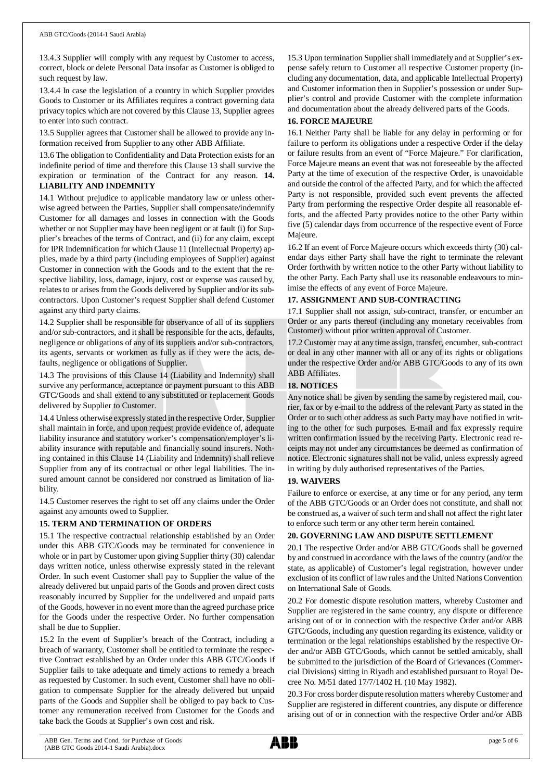13.4.3 Supplier will comply with any request by Customer to access, correct, block or delete Personal Data insofar as Customer is obliged to such request by law.

13.4.4 In case the legislation of a country in which Supplier provides Goods to Customer or its Affiliates requires a contract governing data privacy topics which are not covered by this Clause 13, Supplier agrees to enter into such contract.

13.5 Supplier agrees that Customer shall be allowed to provide any information received from Supplier to any other ABB Affiliate.

13.6 The obligation to Confidentiality and Data Protection exists for an indefinite period of time and therefore this Clause 13 shall survive the expiration or termination of the Contract for any reason. **14. LIABILITY AND INDEMNITY**

14.1 Without prejudice to applicable mandatory law or unless otherwise agreed between the Parties, Supplier shall compensate/indemnify Customer for all damages and losses in connection with the Goods whether or not Supplier may have been negligent or at fault (i) for Supplier's breaches of the terms of Contract, and (ii) for any claim, except for IPR Indemnification for which Clause 11 (Intellectual Property) applies, made by a third party (including employees of Supplier) against Customer in connection with the Goods and to the extent that the respective liability, loss, damage, injury, cost or expense was caused by, relates to or arises from the Goods delivered by Supplier and/or its subcontractors. Upon Customer's request Supplier shall defend Customer against any third party claims.

14.2 Supplier shall be responsible for observance of all of its suppliers and/or sub-contractors, and it shall be responsible for the acts, defaults, negligence or obligations of any of its suppliers and/or sub-contractors, its agents, servants or workmen as fully as if they were the acts, defaults, negligence or obligations of Supplier.

14.3 The provisions of this Clause 14 (Liability and Indemnity) shall survive any performance, acceptance or payment pursuant to this ABB GTC/Goods and shall extend to any substituted or replacement Goods delivered by Supplier to Customer.

14.4 Unless otherwise expressly stated in the respective Order, Supplier shall maintain in force, and upon request provide evidence of, adequate liability insurance and statutory worker's compensation/employer's liability insurance with reputable and financially sound insurers. Nothing contained in this Clause 14 (Liability and Indemnity) shall relieve Supplier from any of its contractual or other legal liabilities. The insured amount cannot be considered nor construed as limitation of liability.

14.5 Customer reserves the right to set off any claims under the Order against any amounts owed to Supplier.

## **15. TERM AND TERMINATION OF ORDERS**

15.1 The respective contractual relationship established by an Order under this ABB GTC/Goods may be terminated for convenience in whole or in part by Customer upon giving Supplier thirty (30) calendar days written notice, unless otherwise expressly stated in the relevant Order. In such event Customer shall pay to Supplier the value of the already delivered but unpaid parts of the Goods and proven direct costs reasonably incurred by Supplier for the undelivered and unpaid parts of the Goods, however in no event more than the agreed purchase price for the Goods under the respective Order. No further compensation shall be due to Supplier.

15.2 In the event of Supplier's breach of the Contract, including a breach of warranty, Customer shall be entitled to terminate the respective Contract established by an Order under this ABB GTC/Goods if Supplier fails to take adequate and timely actions to remedy a breach as requested by Customer. In such event, Customer shall have no obligation to compensate Supplier for the already delivered but unpaid parts of the Goods and Supplier shall be obliged to pay back to Customer any remuneration received from Customer for the Goods and take back the Goods at Supplier's own cost and risk.

15.3 Upon termination Supplier shall immediately and at Supplier's expense safely return to Customer all respective Customer property (including any documentation, data, and applicable Intellectual Property) and Customer information then in Supplier's possession or under Supplier's control and provide Customer with the complete information and documentation about the already delivered parts of the Goods.

#### **16. FORCE MAJEURE**

16.1 Neither Party shall be liable for any delay in performing or for failure to perform its obligations under a respective Order if the delay or failure results from an event of "Force Majeure." For clarification, Force Majeure means an event that was not foreseeable by the affected Party at the time of execution of the respective Order, is unavoidable and outside the control of the affected Party, and for which the affected Party is not responsible, provided such event prevents the affected Party from performing the respective Order despite all reasonable efforts, and the affected Party provides notice to the other Party within five (5) calendar days from occurrence of the respective event of Force Majeure.

16.2 If an event of Force Majeure occurs which exceeds thirty (30) calendar days either Party shall have the right to terminate the relevant Order forthwith by written notice to the other Party without liability to the other Party. Each Party shall use its reasonable endeavours to minimise the effects of any event of Force Majeure.

#### **17. ASSIGNMENT AND SUB-CONTRACTING**

17.1 Supplier shall not assign, sub-contract, transfer, or encumber an Order or any parts thereof (including any monetary receivables from Customer) without prior written approval of Customer.

17.2 Customer may at any time assign, transfer, encumber, sub-contract or deal in any other manner with all or any of its rights or obligations under the respective Order and/or ABB GTC/Goods to any of its own ABB Affiliates.

## **18. NOTICES**

Any notice shall be given by sending the same by registered mail, courier, fax or by e-mail to the address of the relevant Party as stated in the Order or to such other address as such Party may have notified in writing to the other for such purposes. E-mail and fax expressly require written confirmation issued by the receiving Party. Electronic read receipts may not under any circumstances be deemed as confirmation of notice. Electronic signatures shall not be valid, unless expressly agreed in writing by duly authorised representatives of the Parties.

## **19. WAIVERS**

Failure to enforce or exercise, at any time or for any period, any term of the ABB GTC/Goods or an Order does not constitute, and shall not be construed as, a waiver of such term and shall not affect the right later to enforce such term or any other term herein contained.

## **20. GOVERNING LAW AND DISPUTE SETTLEMENT**

20.1 The respective Order and/or ABB GTC/Goods shall be governed by and construed in accordance with the laws of the country (and/or the state, as applicable) of Customer's legal registration, however under exclusion of its conflict of law rules and the United Nations Convention on International Sale of Goods.

20.2 For domestic dispute resolution matters, whereby Customer and Supplier are registered in the same country, any dispute or difference arising out of or in connection with the respective Order and/or ABB GTC/Goods, including any question regarding its existence, validity or termination or the legal relationships established by the respective Order and/or ABB GTC/Goods, which cannot be settled amicably, shall be submitted to the jurisdiction of the Board of Grievances (Commercial Divisions) sitting in Riyadh and established pursuant to Royal Decree No. M/51 dated 17/7/1402 H. (10 May 1982).

20.3 For cross border dispute resolution matters whereby Customer and Supplier are registered in different countries, any dispute or difference arising out of or in connection with the respective Order and/or ABB